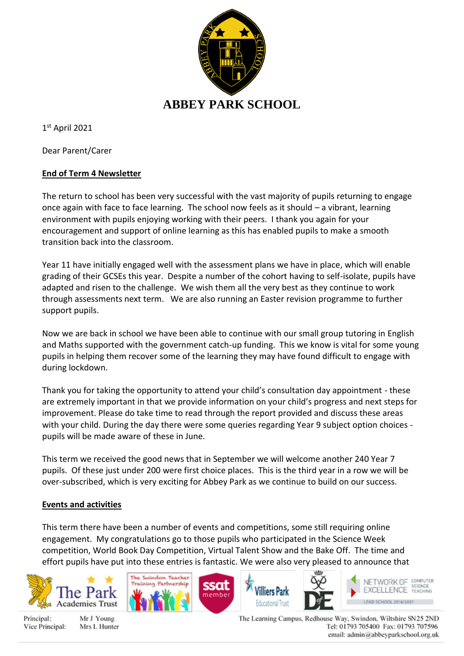

1 st April 2021

Dear Parent/Carer

# **End of Term 4 Newsletter**

The return to school has been very successful with the vast majority of pupils returning to engage once again with face to face learning. The school now feels as it should – a vibrant, learning environment with pupils enjoying working with their peers. I thank you again for your encouragement and support of online learning as this has enabled pupils to make a smooth transition back into the classroom.

Year 11 have initially engaged well with the assessment plans we have in place, which will enable grading of their GCSEs this year. Despite a number of the cohort having to self-isolate, pupils have adapted and risen to the challenge. We wish them all the very best as they continue to work through assessments next term. We are also running an Easter revision programme to further support pupils.

Now we are back in school we have been able to continue with our small group tutoring in English and Maths supported with the government catch-up funding. This we know is vital for some young pupils in helping them recover some of the learning they may have found difficult to engage with during lockdown.

Thank you for taking the opportunity to attend your child's consultation day appointment - these are extremely important in that we provide information on your child's progress and next steps for improvement. Please do take time to read through the report provided and discuss these areas with your child. During the day there were some queries regarding Year 9 subject option choices pupils will be made aware of these in June.

This term we received the good news that in September we will welcome another 240 Year 7 pupils. Of these just under 200 were first choice places. This is the third year in a row we will be over-subscribed, which is very exciting for Abbey Park as we continue to build on our success.

# **Events and activities**

This term there have been a number of events and competitions, some still requiring online engagement. My congratulations go to those pupils who participated in the Science Week competition, World Book Day Competition, Virtual Talent Show and the Bake Off. The time and effort pupils have put into these entries is fantastic. We were also very pleased to announce that



Principal: Vice Principal:

Mr J Young Mrs L Hunter









The Learning Campus, Redhouse Way, Swindon, Wiltshire SN25 2ND Tel: 01793 705400 Fax: 01793 707596 email: admin@abbeyparkschool.org.uk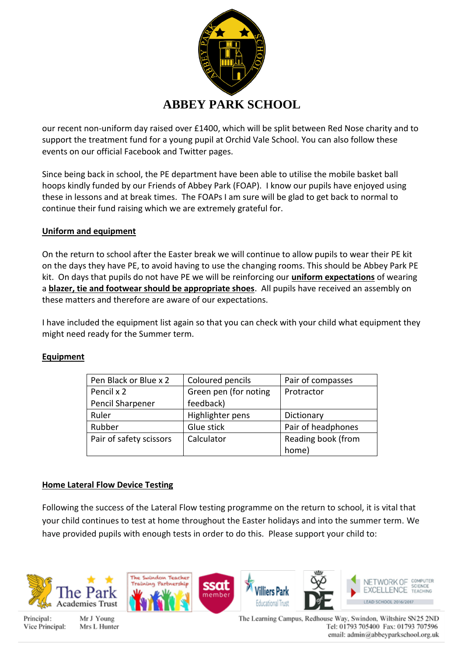

our recent non-uniform day raised over £1400, which will be split between Red Nose charity and to support the treatment fund for a young pupil at Orchid Vale School. You can also follow these events on our official Facebook and Twitter pages.

Since being back in school, the PE department have been able to utilise the mobile basket ball hoops kindly funded by our Friends of Abbey Park (FOAP). I know our pupils have enjoyed using these in lessons and at break times. The FOAPs I am sure will be glad to get back to normal to continue their fund raising which we are extremely grateful for.

## **Uniform and equipment**

On the return to school after the Easter break we will continue to allow pupils to wear their PE kit on the days they have PE, to avoid having to use the changing rooms. This should be Abbey Park PE kit. On days that pupils do not have PE we will be reinforcing our **uniform expectations** of wearing a **blazer, tie and footwear should be appropriate shoes**. All pupils have received an assembly on these matters and therefore are aware of our expectations.

I have included the equipment list again so that you can check with your child what equipment they might need ready for the Summer term.

## **Equipment**

| Pen Black or Blue x 2   | Coloured pencils      | Pair of compasses  |
|-------------------------|-----------------------|--------------------|
| Pencil x 2              | Green pen (for noting | Protractor         |
| Pencil Sharpener        | feedback)             |                    |
| Ruler                   | Highlighter pens      | Dictionary         |
| Rubber                  | Glue stick            | Pair of headphones |
| Pair of safety scissors | Calculator            | Reading book (from |
|                         |                       | home)              |

## **Home Lateral Flow Device Testing**

Following the success of the Lateral Flow testing programme on the return to school, it is vital that your child continues to test at home throughout the Easter holidays and into the summer term. We have provided pupils with enough tests in order to do this. Please support your child to:



Principal: Vice Principal:

Mr J Young Mrs L Hunter The Learning Campus, Redhouse Way, Swindon, Wiltshire SN25 2ND Tel: 01793 705400 Fax: 01793 707596 email: admin@abbeyparkschool.org.uk